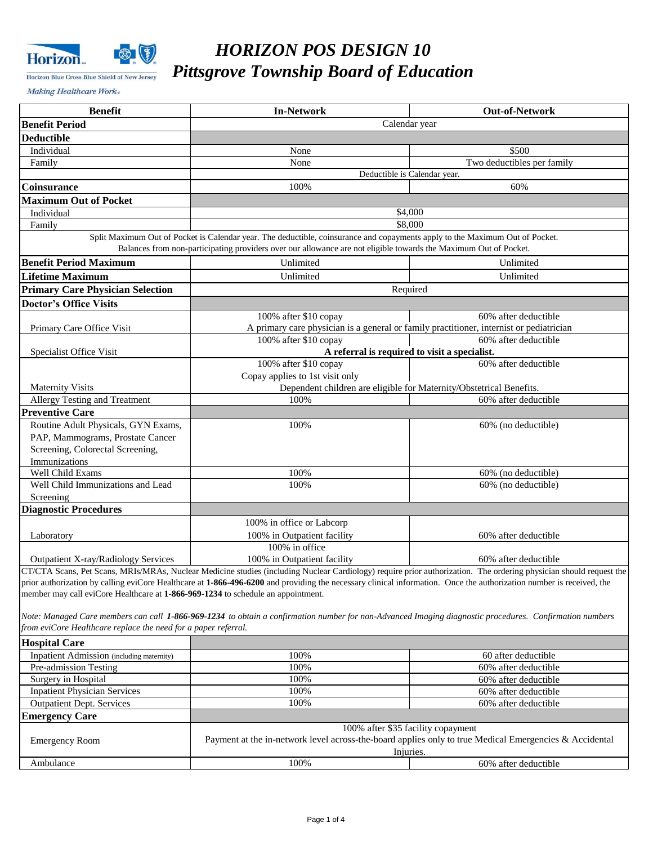

# *HORIZON POS DESIGN 10 Pittsgrove Township Board of Education*

Making Healthcare Work«

| <b>Benefit</b>                                                                   | <b>In-Network</b>                                                                                                                                                                                                                                | <b>Out-of-Network</b>                        |  |
|----------------------------------------------------------------------------------|--------------------------------------------------------------------------------------------------------------------------------------------------------------------------------------------------------------------------------------------------|----------------------------------------------|--|
| <b>Benefit Period</b>                                                            | Calendar year                                                                                                                                                                                                                                    |                                              |  |
| <b>Deductible</b>                                                                |                                                                                                                                                                                                                                                  |                                              |  |
| Individual                                                                       | None                                                                                                                                                                                                                                             | \$500                                        |  |
| Family                                                                           | None                                                                                                                                                                                                                                             | Two deductibles per family                   |  |
|                                                                                  | Deductible is Calendar year.                                                                                                                                                                                                                     |                                              |  |
| Coinsurance                                                                      | 100%                                                                                                                                                                                                                                             | 60%                                          |  |
| <b>Maximum Out of Pocket</b>                                                     |                                                                                                                                                                                                                                                  |                                              |  |
| Individual                                                                       | \$4,000                                                                                                                                                                                                                                          |                                              |  |
| Family                                                                           | \$8,000                                                                                                                                                                                                                                          |                                              |  |
|                                                                                  | Split Maximum Out of Pocket is Calendar year. The deductible, coinsurance and copayments apply to the Maximum Out of Pocket.<br>Balances from non-participating providers over our allowance are not eligible towards the Maximum Out of Pocket. |                                              |  |
| <b>Benefit Period Maximum</b>                                                    | Unlimited                                                                                                                                                                                                                                        | Unlimited                                    |  |
| <b>Lifetime Maximum</b>                                                          | Unlimited                                                                                                                                                                                                                                        | Unlimited                                    |  |
| <b>Primary Care Physician Selection</b>                                          | Required                                                                                                                                                                                                                                         |                                              |  |
| <b>Doctor's Office Visits</b>                                                    |                                                                                                                                                                                                                                                  |                                              |  |
|                                                                                  | 100% after \$10 copay                                                                                                                                                                                                                            | 60% after deductible                         |  |
| Primary Care Office Visit                                                        | A primary care physician is a general or family practitioner, internist or pediatrician                                                                                                                                                          |                                              |  |
|                                                                                  | 100% after \$10 copay                                                                                                                                                                                                                            | 60% after deductible                         |  |
| Specialist Office Visit                                                          | A referral is required to visit a specialist.                                                                                                                                                                                                    |                                              |  |
|                                                                                  | 100% after \$10 copay                                                                                                                                                                                                                            | 60% after deductible                         |  |
|                                                                                  | Copay applies to 1st visit only                                                                                                                                                                                                                  |                                              |  |
| <b>Maternity Visits</b>                                                          | Dependent children are eligible for Maternity/Obstetrical Benefits.                                                                                                                                                                              |                                              |  |
| Allergy Testing and Treatment                                                    | 100%                                                                                                                                                                                                                                             | 60% after deductible                         |  |
| <b>Preventive Care</b>                                                           |                                                                                                                                                                                                                                                  |                                              |  |
| Routine Adult Physicals, GYN Exams,                                              | 100%                                                                                                                                                                                                                                             | 60% (no deductible)                          |  |
| PAP, Mammograms, Prostate Cancer                                                 |                                                                                                                                                                                                                                                  |                                              |  |
| Screening, Colorectal Screening,                                                 |                                                                                                                                                                                                                                                  |                                              |  |
| Immunizations<br>Well Child Exams                                                | 100%                                                                                                                                                                                                                                             | 60% (no deductible)                          |  |
| Well Child Immunizations and Lead                                                | 100%                                                                                                                                                                                                                                             | 60% (no deductible)                          |  |
| Screening                                                                        |                                                                                                                                                                                                                                                  |                                              |  |
| <b>Diagnostic Procedures</b>                                                     |                                                                                                                                                                                                                                                  |                                              |  |
|                                                                                  | 100% in office or Labcorp                                                                                                                                                                                                                        |                                              |  |
| Laboratory                                                                       | 100% in Outpatient facility                                                                                                                                                                                                                      | 60% after deductible                         |  |
|                                                                                  | 100% in office                                                                                                                                                                                                                                   |                                              |  |
| Outpatient X-ray/Radiology Services                                              | 100% in Outpatient facility                                                                                                                                                                                                                      | 60% after deductible                         |  |
|                                                                                  | CT/CTA Scans, Pet Scans, MRIs/MRAs, Nuclear Medicine studies (including Nuclear Cardiology) require prior authorization. The ordering physician should request the                                                                               |                                              |  |
|                                                                                  | prior authorization by calling eviCore Healthcare at 1-866-496-6200 and providing the necessary clinical information. Once the authorization number is received, the                                                                             |                                              |  |
| member may call eviCore Healthcare at 1-866-969-1234 to schedule an appointment. |                                                                                                                                                                                                                                                  |                                              |  |
|                                                                                  |                                                                                                                                                                                                                                                  |                                              |  |
|                                                                                  | Note: Managed Care members can call 1-866-969-1234 to obtain a confirmation number for non-Advanced Imaging diagnostic procedures. Confirmation numbers                                                                                          |                                              |  |
| from eviCore Healthcare replace the need for a paper referral.                   |                                                                                                                                                                                                                                                  |                                              |  |
| <b>Hospital Care</b>                                                             |                                                                                                                                                                                                                                                  |                                              |  |
| Inpatient Admission (including maternity)                                        | 100%                                                                                                                                                                                                                                             | 60 after deductible                          |  |
| Pre-admission Testing                                                            | 100%                                                                                                                                                                                                                                             | 60% after deductible                         |  |
| Surgery in Hospital<br><b>Inpatient Physician Services</b>                       | 100%<br>100%                                                                                                                                                                                                                                     | 60% after deductible                         |  |
| <b>Outpatient Dept. Services</b>                                                 | 100%                                                                                                                                                                                                                                             | 60% after deductible<br>60% after deductible |  |
|                                                                                  |                                                                                                                                                                                                                                                  |                                              |  |
| <b>Emergency Care</b>                                                            | 100% after \$35 facility copayment                                                                                                                                                                                                               |                                              |  |
| <b>Emergency Room</b>                                                            | Payment at the in-network level across-the-board applies only to true Medical Emergencies & Accidental                                                                                                                                           |                                              |  |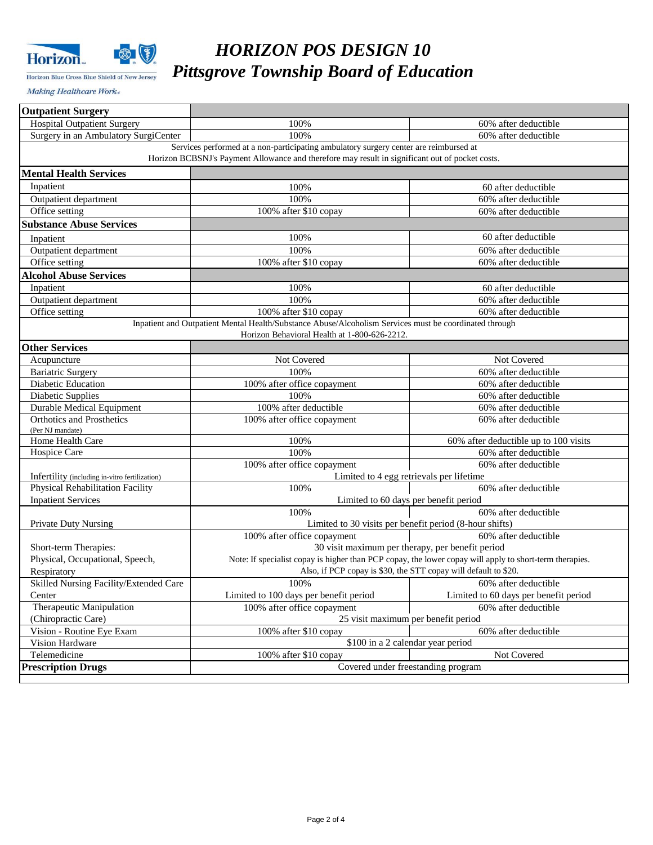

Horizon Blue Cross Blue Shield of New Jersey

# *HORIZON POS DESIGN 10 Pittsgrove Township Board of Education*

Making Healthcare Work«

| <b>Hospital Outpatient Surgery</b><br>100%<br>60% after deductible<br>100%<br>Surgery in an Ambulatory SurgiCenter<br>60% after deductible<br>Services performed at a non-participating ambulatory surgery center are reimbursed at<br>Horizon BCBSNJ's Payment Allowance and therefore may result in significant out of pocket costs.<br><b>Mental Health Services</b><br>Inpatient<br>100%<br>60 after deductible<br>100%<br>60% after deductible<br>Outpatient department<br>Office setting<br>100% after \$10 copay<br>60% after deductible<br><b>Substance Abuse Services</b><br>60 after deductible<br>100%<br>Inpatient<br>100%<br>Outpatient department<br>60% after deductible<br>Office setting<br>100% after \$10 copay<br>60% after deductible<br><b>Alcohol Abuse Services</b><br>Inpatient<br>100%<br>60 after deductible<br>100%<br>Outpatient department<br>60% after deductible<br>Office setting<br>100% after \$10 copay<br>60% after deductible<br>Inpatient and Outpatient Mental Health/Substance Abuse/Alcoholism Services must be coordinated through<br>Horizon Behavioral Health at 1-800-626-2212.<br><b>Other Services</b><br>Not Covered<br>Not Covered<br>Acupuncture<br>100%<br><b>Bariatric Surgery</b><br>60% after deductible<br>Diabetic Education<br>100% after office copayment<br>60% after deductible<br>Diabetic Supplies<br>100%<br>60% after deductible<br><b>Durable Medical Equipment</b><br>100% after deductible<br>60% after deductible<br><b>Orthotics and Prosthetics</b><br>100% after office copayment<br>60% after deductible<br>(Per NJ mandate)<br>Home Health Care<br>100%<br>60% after deductible up to 100 visits<br>100%<br>Hospice Care<br>60% after deductible<br>100% after office copayment<br>60% after deductible<br>Limited to 4 egg retrievals per lifetime<br>Infertility (including in-vitro fertilization)<br>Physical Rehabilitation Facility<br>100%<br>60% after deductible<br><b>Inpatient Services</b><br>Limited to 60 days per benefit period<br>60% after deductible<br>100%<br><b>Private Duty Nursing</b><br>Limited to 30 visits per benefit period (8-hour shifts)<br>100% after office copayment<br>60% after deductible<br>30 visit maximum per therapy, per benefit period<br>Short-term Therapies:<br>Physical, Occupational, Speech,<br>Note: If specialist copay is higher than PCP copay, the lower copay will apply to short-term therapies.<br>Also, if PCP copay is \$30, the STT copay will default to \$20.<br>Respiratory<br>Skilled Nursing Facility/Extended Care<br>and the contract of the contract of the contract of the contract of the contract of the contract of the contract of the contract of the contract of the contract of the contract of the contract of the contract of the contra<br>100%<br>Limited to 100 days per benefit period<br>Limited to 60 days per benefit period<br>Center<br>Therapeutic Manipulation<br>100% after office copayment<br>60% after deductible<br>(Chiropractic Care)<br>25 visit maximum per benefit period<br>Vision - Routine Eye Exam<br>100% after \$10 copay<br>60% after deductible<br>\$100 in a 2 calendar year period<br>Vision Hardware<br>Telemedicine<br>100% after \$10 copay<br>Not Covered<br>Covered under freestanding program<br><b>Prescription Drugs</b> | <b>Outpatient Surgery</b> |  |  |  |  |
|----------------------------------------------------------------------------------------------------------------------------------------------------------------------------------------------------------------------------------------------------------------------------------------------------------------------------------------------------------------------------------------------------------------------------------------------------------------------------------------------------------------------------------------------------------------------------------------------------------------------------------------------------------------------------------------------------------------------------------------------------------------------------------------------------------------------------------------------------------------------------------------------------------------------------------------------------------------------------------------------------------------------------------------------------------------------------------------------------------------------------------------------------------------------------------------------------------------------------------------------------------------------------------------------------------------------------------------------------------------------------------------------------------------------------------------------------------------------------------------------------------------------------------------------------------------------------------------------------------------------------------------------------------------------------------------------------------------------------------------------------------------------------------------------------------------------------------------------------------------------------------------------------------------------------------------------------------------------------------------------------------------------------------------------------------------------------------------------------------------------------------------------------------------------------------------------------------------------------------------------------------------------------------------------------------------------------------------------------------------------------------------------------------------------------------------------------------------------------------------------------------------------------------------------------------------------------------------------------------------------------------------------------------------------------------------------------------------------------------------------------------------------------------------------------------------------------------------------------------------------------------------------------------------------------------------------------------------------------------------------------------------------------------------------------------------------------------------------------------------------------------------------------------------------------------------------------------------------------------------------------------------------------------------------------------------------------|---------------------------|--|--|--|--|
|                                                                                                                                                                                                                                                                                                                                                                                                                                                                                                                                                                                                                                                                                                                                                                                                                                                                                                                                                                                                                                                                                                                                                                                                                                                                                                                                                                                                                                                                                                                                                                                                                                                                                                                                                                                                                                                                                                                                                                                                                                                                                                                                                                                                                                                                                                                                                                                                                                                                                                                                                                                                                                                                                                                                                                                                                                                                                                                                                                                                                                                                                                                                                                                                                                                                                                                            |                           |  |  |  |  |
|                                                                                                                                                                                                                                                                                                                                                                                                                                                                                                                                                                                                                                                                                                                                                                                                                                                                                                                                                                                                                                                                                                                                                                                                                                                                                                                                                                                                                                                                                                                                                                                                                                                                                                                                                                                                                                                                                                                                                                                                                                                                                                                                                                                                                                                                                                                                                                                                                                                                                                                                                                                                                                                                                                                                                                                                                                                                                                                                                                                                                                                                                                                                                                                                                                                                                                                            |                           |  |  |  |  |
|                                                                                                                                                                                                                                                                                                                                                                                                                                                                                                                                                                                                                                                                                                                                                                                                                                                                                                                                                                                                                                                                                                                                                                                                                                                                                                                                                                                                                                                                                                                                                                                                                                                                                                                                                                                                                                                                                                                                                                                                                                                                                                                                                                                                                                                                                                                                                                                                                                                                                                                                                                                                                                                                                                                                                                                                                                                                                                                                                                                                                                                                                                                                                                                                                                                                                                                            |                           |  |  |  |  |
|                                                                                                                                                                                                                                                                                                                                                                                                                                                                                                                                                                                                                                                                                                                                                                                                                                                                                                                                                                                                                                                                                                                                                                                                                                                                                                                                                                                                                                                                                                                                                                                                                                                                                                                                                                                                                                                                                                                                                                                                                                                                                                                                                                                                                                                                                                                                                                                                                                                                                                                                                                                                                                                                                                                                                                                                                                                                                                                                                                                                                                                                                                                                                                                                                                                                                                                            |                           |  |  |  |  |
|                                                                                                                                                                                                                                                                                                                                                                                                                                                                                                                                                                                                                                                                                                                                                                                                                                                                                                                                                                                                                                                                                                                                                                                                                                                                                                                                                                                                                                                                                                                                                                                                                                                                                                                                                                                                                                                                                                                                                                                                                                                                                                                                                                                                                                                                                                                                                                                                                                                                                                                                                                                                                                                                                                                                                                                                                                                                                                                                                                                                                                                                                                                                                                                                                                                                                                                            |                           |  |  |  |  |
|                                                                                                                                                                                                                                                                                                                                                                                                                                                                                                                                                                                                                                                                                                                                                                                                                                                                                                                                                                                                                                                                                                                                                                                                                                                                                                                                                                                                                                                                                                                                                                                                                                                                                                                                                                                                                                                                                                                                                                                                                                                                                                                                                                                                                                                                                                                                                                                                                                                                                                                                                                                                                                                                                                                                                                                                                                                                                                                                                                                                                                                                                                                                                                                                                                                                                                                            |                           |  |  |  |  |
|                                                                                                                                                                                                                                                                                                                                                                                                                                                                                                                                                                                                                                                                                                                                                                                                                                                                                                                                                                                                                                                                                                                                                                                                                                                                                                                                                                                                                                                                                                                                                                                                                                                                                                                                                                                                                                                                                                                                                                                                                                                                                                                                                                                                                                                                                                                                                                                                                                                                                                                                                                                                                                                                                                                                                                                                                                                                                                                                                                                                                                                                                                                                                                                                                                                                                                                            |                           |  |  |  |  |
|                                                                                                                                                                                                                                                                                                                                                                                                                                                                                                                                                                                                                                                                                                                                                                                                                                                                                                                                                                                                                                                                                                                                                                                                                                                                                                                                                                                                                                                                                                                                                                                                                                                                                                                                                                                                                                                                                                                                                                                                                                                                                                                                                                                                                                                                                                                                                                                                                                                                                                                                                                                                                                                                                                                                                                                                                                                                                                                                                                                                                                                                                                                                                                                                                                                                                                                            |                           |  |  |  |  |
|                                                                                                                                                                                                                                                                                                                                                                                                                                                                                                                                                                                                                                                                                                                                                                                                                                                                                                                                                                                                                                                                                                                                                                                                                                                                                                                                                                                                                                                                                                                                                                                                                                                                                                                                                                                                                                                                                                                                                                                                                                                                                                                                                                                                                                                                                                                                                                                                                                                                                                                                                                                                                                                                                                                                                                                                                                                                                                                                                                                                                                                                                                                                                                                                                                                                                                                            |                           |  |  |  |  |
|                                                                                                                                                                                                                                                                                                                                                                                                                                                                                                                                                                                                                                                                                                                                                                                                                                                                                                                                                                                                                                                                                                                                                                                                                                                                                                                                                                                                                                                                                                                                                                                                                                                                                                                                                                                                                                                                                                                                                                                                                                                                                                                                                                                                                                                                                                                                                                                                                                                                                                                                                                                                                                                                                                                                                                                                                                                                                                                                                                                                                                                                                                                                                                                                                                                                                                                            |                           |  |  |  |  |
|                                                                                                                                                                                                                                                                                                                                                                                                                                                                                                                                                                                                                                                                                                                                                                                                                                                                                                                                                                                                                                                                                                                                                                                                                                                                                                                                                                                                                                                                                                                                                                                                                                                                                                                                                                                                                                                                                                                                                                                                                                                                                                                                                                                                                                                                                                                                                                                                                                                                                                                                                                                                                                                                                                                                                                                                                                                                                                                                                                                                                                                                                                                                                                                                                                                                                                                            |                           |  |  |  |  |
|                                                                                                                                                                                                                                                                                                                                                                                                                                                                                                                                                                                                                                                                                                                                                                                                                                                                                                                                                                                                                                                                                                                                                                                                                                                                                                                                                                                                                                                                                                                                                                                                                                                                                                                                                                                                                                                                                                                                                                                                                                                                                                                                                                                                                                                                                                                                                                                                                                                                                                                                                                                                                                                                                                                                                                                                                                                                                                                                                                                                                                                                                                                                                                                                                                                                                                                            |                           |  |  |  |  |
|                                                                                                                                                                                                                                                                                                                                                                                                                                                                                                                                                                                                                                                                                                                                                                                                                                                                                                                                                                                                                                                                                                                                                                                                                                                                                                                                                                                                                                                                                                                                                                                                                                                                                                                                                                                                                                                                                                                                                                                                                                                                                                                                                                                                                                                                                                                                                                                                                                                                                                                                                                                                                                                                                                                                                                                                                                                                                                                                                                                                                                                                                                                                                                                                                                                                                                                            |                           |  |  |  |  |
|                                                                                                                                                                                                                                                                                                                                                                                                                                                                                                                                                                                                                                                                                                                                                                                                                                                                                                                                                                                                                                                                                                                                                                                                                                                                                                                                                                                                                                                                                                                                                                                                                                                                                                                                                                                                                                                                                                                                                                                                                                                                                                                                                                                                                                                                                                                                                                                                                                                                                                                                                                                                                                                                                                                                                                                                                                                                                                                                                                                                                                                                                                                                                                                                                                                                                                                            |                           |  |  |  |  |
|                                                                                                                                                                                                                                                                                                                                                                                                                                                                                                                                                                                                                                                                                                                                                                                                                                                                                                                                                                                                                                                                                                                                                                                                                                                                                                                                                                                                                                                                                                                                                                                                                                                                                                                                                                                                                                                                                                                                                                                                                                                                                                                                                                                                                                                                                                                                                                                                                                                                                                                                                                                                                                                                                                                                                                                                                                                                                                                                                                                                                                                                                                                                                                                                                                                                                                                            |                           |  |  |  |  |
|                                                                                                                                                                                                                                                                                                                                                                                                                                                                                                                                                                                                                                                                                                                                                                                                                                                                                                                                                                                                                                                                                                                                                                                                                                                                                                                                                                                                                                                                                                                                                                                                                                                                                                                                                                                                                                                                                                                                                                                                                                                                                                                                                                                                                                                                                                                                                                                                                                                                                                                                                                                                                                                                                                                                                                                                                                                                                                                                                                                                                                                                                                                                                                                                                                                                                                                            |                           |  |  |  |  |
|                                                                                                                                                                                                                                                                                                                                                                                                                                                                                                                                                                                                                                                                                                                                                                                                                                                                                                                                                                                                                                                                                                                                                                                                                                                                                                                                                                                                                                                                                                                                                                                                                                                                                                                                                                                                                                                                                                                                                                                                                                                                                                                                                                                                                                                                                                                                                                                                                                                                                                                                                                                                                                                                                                                                                                                                                                                                                                                                                                                                                                                                                                                                                                                                                                                                                                                            |                           |  |  |  |  |
|                                                                                                                                                                                                                                                                                                                                                                                                                                                                                                                                                                                                                                                                                                                                                                                                                                                                                                                                                                                                                                                                                                                                                                                                                                                                                                                                                                                                                                                                                                                                                                                                                                                                                                                                                                                                                                                                                                                                                                                                                                                                                                                                                                                                                                                                                                                                                                                                                                                                                                                                                                                                                                                                                                                                                                                                                                                                                                                                                                                                                                                                                                                                                                                                                                                                                                                            |                           |  |  |  |  |
|                                                                                                                                                                                                                                                                                                                                                                                                                                                                                                                                                                                                                                                                                                                                                                                                                                                                                                                                                                                                                                                                                                                                                                                                                                                                                                                                                                                                                                                                                                                                                                                                                                                                                                                                                                                                                                                                                                                                                                                                                                                                                                                                                                                                                                                                                                                                                                                                                                                                                                                                                                                                                                                                                                                                                                                                                                                                                                                                                                                                                                                                                                                                                                                                                                                                                                                            |                           |  |  |  |  |
|                                                                                                                                                                                                                                                                                                                                                                                                                                                                                                                                                                                                                                                                                                                                                                                                                                                                                                                                                                                                                                                                                                                                                                                                                                                                                                                                                                                                                                                                                                                                                                                                                                                                                                                                                                                                                                                                                                                                                                                                                                                                                                                                                                                                                                                                                                                                                                                                                                                                                                                                                                                                                                                                                                                                                                                                                                                                                                                                                                                                                                                                                                                                                                                                                                                                                                                            |                           |  |  |  |  |
|                                                                                                                                                                                                                                                                                                                                                                                                                                                                                                                                                                                                                                                                                                                                                                                                                                                                                                                                                                                                                                                                                                                                                                                                                                                                                                                                                                                                                                                                                                                                                                                                                                                                                                                                                                                                                                                                                                                                                                                                                                                                                                                                                                                                                                                                                                                                                                                                                                                                                                                                                                                                                                                                                                                                                                                                                                                                                                                                                                                                                                                                                                                                                                                                                                                                                                                            |                           |  |  |  |  |
|                                                                                                                                                                                                                                                                                                                                                                                                                                                                                                                                                                                                                                                                                                                                                                                                                                                                                                                                                                                                                                                                                                                                                                                                                                                                                                                                                                                                                                                                                                                                                                                                                                                                                                                                                                                                                                                                                                                                                                                                                                                                                                                                                                                                                                                                                                                                                                                                                                                                                                                                                                                                                                                                                                                                                                                                                                                                                                                                                                                                                                                                                                                                                                                                                                                                                                                            |                           |  |  |  |  |
|                                                                                                                                                                                                                                                                                                                                                                                                                                                                                                                                                                                                                                                                                                                                                                                                                                                                                                                                                                                                                                                                                                                                                                                                                                                                                                                                                                                                                                                                                                                                                                                                                                                                                                                                                                                                                                                                                                                                                                                                                                                                                                                                                                                                                                                                                                                                                                                                                                                                                                                                                                                                                                                                                                                                                                                                                                                                                                                                                                                                                                                                                                                                                                                                                                                                                                                            |                           |  |  |  |  |
|                                                                                                                                                                                                                                                                                                                                                                                                                                                                                                                                                                                                                                                                                                                                                                                                                                                                                                                                                                                                                                                                                                                                                                                                                                                                                                                                                                                                                                                                                                                                                                                                                                                                                                                                                                                                                                                                                                                                                                                                                                                                                                                                                                                                                                                                                                                                                                                                                                                                                                                                                                                                                                                                                                                                                                                                                                                                                                                                                                                                                                                                                                                                                                                                                                                                                                                            |                           |  |  |  |  |
|                                                                                                                                                                                                                                                                                                                                                                                                                                                                                                                                                                                                                                                                                                                                                                                                                                                                                                                                                                                                                                                                                                                                                                                                                                                                                                                                                                                                                                                                                                                                                                                                                                                                                                                                                                                                                                                                                                                                                                                                                                                                                                                                                                                                                                                                                                                                                                                                                                                                                                                                                                                                                                                                                                                                                                                                                                                                                                                                                                                                                                                                                                                                                                                                                                                                                                                            |                           |  |  |  |  |
|                                                                                                                                                                                                                                                                                                                                                                                                                                                                                                                                                                                                                                                                                                                                                                                                                                                                                                                                                                                                                                                                                                                                                                                                                                                                                                                                                                                                                                                                                                                                                                                                                                                                                                                                                                                                                                                                                                                                                                                                                                                                                                                                                                                                                                                                                                                                                                                                                                                                                                                                                                                                                                                                                                                                                                                                                                                                                                                                                                                                                                                                                                                                                                                                                                                                                                                            |                           |  |  |  |  |
|                                                                                                                                                                                                                                                                                                                                                                                                                                                                                                                                                                                                                                                                                                                                                                                                                                                                                                                                                                                                                                                                                                                                                                                                                                                                                                                                                                                                                                                                                                                                                                                                                                                                                                                                                                                                                                                                                                                                                                                                                                                                                                                                                                                                                                                                                                                                                                                                                                                                                                                                                                                                                                                                                                                                                                                                                                                                                                                                                                                                                                                                                                                                                                                                                                                                                                                            |                           |  |  |  |  |
|                                                                                                                                                                                                                                                                                                                                                                                                                                                                                                                                                                                                                                                                                                                                                                                                                                                                                                                                                                                                                                                                                                                                                                                                                                                                                                                                                                                                                                                                                                                                                                                                                                                                                                                                                                                                                                                                                                                                                                                                                                                                                                                                                                                                                                                                                                                                                                                                                                                                                                                                                                                                                                                                                                                                                                                                                                                                                                                                                                                                                                                                                                                                                                                                                                                                                                                            |                           |  |  |  |  |
|                                                                                                                                                                                                                                                                                                                                                                                                                                                                                                                                                                                                                                                                                                                                                                                                                                                                                                                                                                                                                                                                                                                                                                                                                                                                                                                                                                                                                                                                                                                                                                                                                                                                                                                                                                                                                                                                                                                                                                                                                                                                                                                                                                                                                                                                                                                                                                                                                                                                                                                                                                                                                                                                                                                                                                                                                                                                                                                                                                                                                                                                                                                                                                                                                                                                                                                            |                           |  |  |  |  |
|                                                                                                                                                                                                                                                                                                                                                                                                                                                                                                                                                                                                                                                                                                                                                                                                                                                                                                                                                                                                                                                                                                                                                                                                                                                                                                                                                                                                                                                                                                                                                                                                                                                                                                                                                                                                                                                                                                                                                                                                                                                                                                                                                                                                                                                                                                                                                                                                                                                                                                                                                                                                                                                                                                                                                                                                                                                                                                                                                                                                                                                                                                                                                                                                                                                                                                                            |                           |  |  |  |  |
|                                                                                                                                                                                                                                                                                                                                                                                                                                                                                                                                                                                                                                                                                                                                                                                                                                                                                                                                                                                                                                                                                                                                                                                                                                                                                                                                                                                                                                                                                                                                                                                                                                                                                                                                                                                                                                                                                                                                                                                                                                                                                                                                                                                                                                                                                                                                                                                                                                                                                                                                                                                                                                                                                                                                                                                                                                                                                                                                                                                                                                                                                                                                                                                                                                                                                                                            |                           |  |  |  |  |
|                                                                                                                                                                                                                                                                                                                                                                                                                                                                                                                                                                                                                                                                                                                                                                                                                                                                                                                                                                                                                                                                                                                                                                                                                                                                                                                                                                                                                                                                                                                                                                                                                                                                                                                                                                                                                                                                                                                                                                                                                                                                                                                                                                                                                                                                                                                                                                                                                                                                                                                                                                                                                                                                                                                                                                                                                                                                                                                                                                                                                                                                                                                                                                                                                                                                                                                            |                           |  |  |  |  |
|                                                                                                                                                                                                                                                                                                                                                                                                                                                                                                                                                                                                                                                                                                                                                                                                                                                                                                                                                                                                                                                                                                                                                                                                                                                                                                                                                                                                                                                                                                                                                                                                                                                                                                                                                                                                                                                                                                                                                                                                                                                                                                                                                                                                                                                                                                                                                                                                                                                                                                                                                                                                                                                                                                                                                                                                                                                                                                                                                                                                                                                                                                                                                                                                                                                                                                                            |                           |  |  |  |  |
|                                                                                                                                                                                                                                                                                                                                                                                                                                                                                                                                                                                                                                                                                                                                                                                                                                                                                                                                                                                                                                                                                                                                                                                                                                                                                                                                                                                                                                                                                                                                                                                                                                                                                                                                                                                                                                                                                                                                                                                                                                                                                                                                                                                                                                                                                                                                                                                                                                                                                                                                                                                                                                                                                                                                                                                                                                                                                                                                                                                                                                                                                                                                                                                                                                                                                                                            |                           |  |  |  |  |
|                                                                                                                                                                                                                                                                                                                                                                                                                                                                                                                                                                                                                                                                                                                                                                                                                                                                                                                                                                                                                                                                                                                                                                                                                                                                                                                                                                                                                                                                                                                                                                                                                                                                                                                                                                                                                                                                                                                                                                                                                                                                                                                                                                                                                                                                                                                                                                                                                                                                                                                                                                                                                                                                                                                                                                                                                                                                                                                                                                                                                                                                                                                                                                                                                                                                                                                            |                           |  |  |  |  |
|                                                                                                                                                                                                                                                                                                                                                                                                                                                                                                                                                                                                                                                                                                                                                                                                                                                                                                                                                                                                                                                                                                                                                                                                                                                                                                                                                                                                                                                                                                                                                                                                                                                                                                                                                                                                                                                                                                                                                                                                                                                                                                                                                                                                                                                                                                                                                                                                                                                                                                                                                                                                                                                                                                                                                                                                                                                                                                                                                                                                                                                                                                                                                                                                                                                                                                                            |                           |  |  |  |  |
|                                                                                                                                                                                                                                                                                                                                                                                                                                                                                                                                                                                                                                                                                                                                                                                                                                                                                                                                                                                                                                                                                                                                                                                                                                                                                                                                                                                                                                                                                                                                                                                                                                                                                                                                                                                                                                                                                                                                                                                                                                                                                                                                                                                                                                                                                                                                                                                                                                                                                                                                                                                                                                                                                                                                                                                                                                                                                                                                                                                                                                                                                                                                                                                                                                                                                                                            |                           |  |  |  |  |
|                                                                                                                                                                                                                                                                                                                                                                                                                                                                                                                                                                                                                                                                                                                                                                                                                                                                                                                                                                                                                                                                                                                                                                                                                                                                                                                                                                                                                                                                                                                                                                                                                                                                                                                                                                                                                                                                                                                                                                                                                                                                                                                                                                                                                                                                                                                                                                                                                                                                                                                                                                                                                                                                                                                                                                                                                                                                                                                                                                                                                                                                                                                                                                                                                                                                                                                            |                           |  |  |  |  |
|                                                                                                                                                                                                                                                                                                                                                                                                                                                                                                                                                                                                                                                                                                                                                                                                                                                                                                                                                                                                                                                                                                                                                                                                                                                                                                                                                                                                                                                                                                                                                                                                                                                                                                                                                                                                                                                                                                                                                                                                                                                                                                                                                                                                                                                                                                                                                                                                                                                                                                                                                                                                                                                                                                                                                                                                                                                                                                                                                                                                                                                                                                                                                                                                                                                                                                                            |                           |  |  |  |  |
|                                                                                                                                                                                                                                                                                                                                                                                                                                                                                                                                                                                                                                                                                                                                                                                                                                                                                                                                                                                                                                                                                                                                                                                                                                                                                                                                                                                                                                                                                                                                                                                                                                                                                                                                                                                                                                                                                                                                                                                                                                                                                                                                                                                                                                                                                                                                                                                                                                                                                                                                                                                                                                                                                                                                                                                                                                                                                                                                                                                                                                                                                                                                                                                                                                                                                                                            |                           |  |  |  |  |
|                                                                                                                                                                                                                                                                                                                                                                                                                                                                                                                                                                                                                                                                                                                                                                                                                                                                                                                                                                                                                                                                                                                                                                                                                                                                                                                                                                                                                                                                                                                                                                                                                                                                                                                                                                                                                                                                                                                                                                                                                                                                                                                                                                                                                                                                                                                                                                                                                                                                                                                                                                                                                                                                                                                                                                                                                                                                                                                                                                                                                                                                                                                                                                                                                                                                                                                            |                           |  |  |  |  |
|                                                                                                                                                                                                                                                                                                                                                                                                                                                                                                                                                                                                                                                                                                                                                                                                                                                                                                                                                                                                                                                                                                                                                                                                                                                                                                                                                                                                                                                                                                                                                                                                                                                                                                                                                                                                                                                                                                                                                                                                                                                                                                                                                                                                                                                                                                                                                                                                                                                                                                                                                                                                                                                                                                                                                                                                                                                                                                                                                                                                                                                                                                                                                                                                                                                                                                                            |                           |  |  |  |  |
|                                                                                                                                                                                                                                                                                                                                                                                                                                                                                                                                                                                                                                                                                                                                                                                                                                                                                                                                                                                                                                                                                                                                                                                                                                                                                                                                                                                                                                                                                                                                                                                                                                                                                                                                                                                                                                                                                                                                                                                                                                                                                                                                                                                                                                                                                                                                                                                                                                                                                                                                                                                                                                                                                                                                                                                                                                                                                                                                                                                                                                                                                                                                                                                                                                                                                                                            |                           |  |  |  |  |
|                                                                                                                                                                                                                                                                                                                                                                                                                                                                                                                                                                                                                                                                                                                                                                                                                                                                                                                                                                                                                                                                                                                                                                                                                                                                                                                                                                                                                                                                                                                                                                                                                                                                                                                                                                                                                                                                                                                                                                                                                                                                                                                                                                                                                                                                                                                                                                                                                                                                                                                                                                                                                                                                                                                                                                                                                                                                                                                                                                                                                                                                                                                                                                                                                                                                                                                            |                           |  |  |  |  |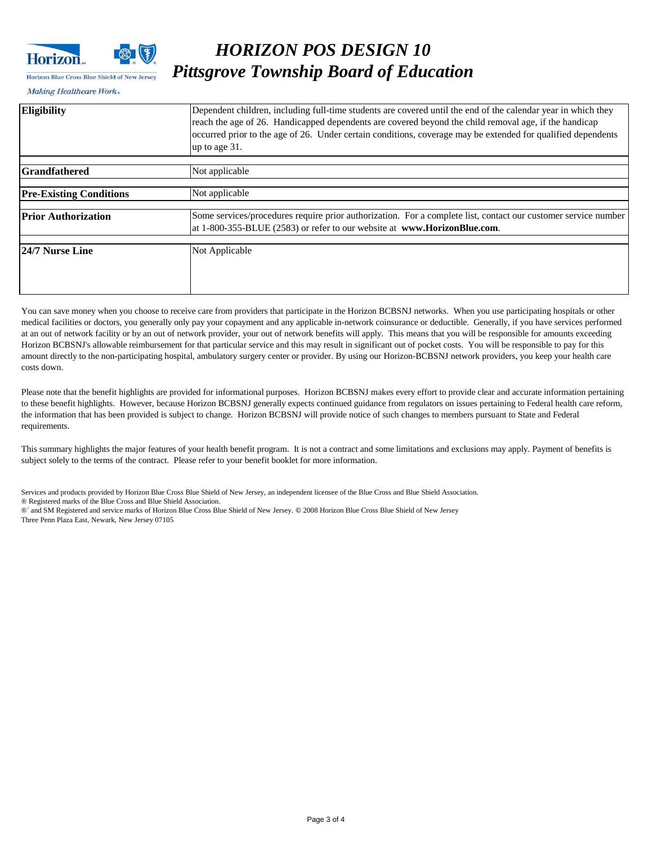

#### Horizon Blue Cross Blue Shield of New Jersey

### *HORIZON POS DESIGN 10 Pittsgrove Township Board of Education*

Making Healthcare Work«

| 24/7 Nurse Line                | Not Applicable                                                                                                                                                                                                                                                                                                                                          |  |  |
|--------------------------------|---------------------------------------------------------------------------------------------------------------------------------------------------------------------------------------------------------------------------------------------------------------------------------------------------------------------------------------------------------|--|--|
| <b>Prior Authorization</b>     | Some services/procedures require prior authorization. For a complete list, contact our customer service number<br>at 1-800-355-BLUE (2583) or refer to our website at www.HorizonBlue.com.                                                                                                                                                              |  |  |
|                                |                                                                                                                                                                                                                                                                                                                                                         |  |  |
| <b>Pre-Existing Conditions</b> | Not applicable                                                                                                                                                                                                                                                                                                                                          |  |  |
| <b>Grandfathered</b>           | Not applicable                                                                                                                                                                                                                                                                                                                                          |  |  |
|                                |                                                                                                                                                                                                                                                                                                                                                         |  |  |
| <b>Eligibility</b>             | Dependent children, including full-time students are covered until the end of the calendar year in which they<br>reach the age of 26. Handicapped dependents are covered beyond the child removal age, if the handicap<br>occurred prior to the age of 26. Under certain conditions, coverage may be extended for qualified dependents<br>up to age 31. |  |  |

You can save money when you choose to receive care from providers that participate in the Horizon BCBSNJ networks. When you use participating hospitals or other medical facilities or doctors, you generally only pay your copayment and any applicable in-network coinsurance or deductible. Generally, if you have services performed at an out of network facility or by an out of network provider, your out of network benefits will apply. This means that you will be responsible for amounts exceeding Horizon BCBSNJ's allowable reimbursement for that particular service and this may result in significant out of pocket costs. You will be responsible to pay for this amount directly to the non-participating hospital, ambulatory surgery center or provider. By using our Horizon-BCBSNJ network providers, you keep your health care costs down.

Please note that the benefit highlights are provided for informational purposes. Horizon BCBSNJ makes every effort to provide clear and accurate information pertaining to these benefit highlights. However, because Horizon BCBSNJ generally expects continued guidance from regulators on issues pertaining to Federal health care reform, the information that has been provided is subject to change. Horizon BCBSNJ will provide notice of such changes to members pursuant to State and Federal requirements.

This summary highlights the major features of your health benefit program. It is not a contract and some limitations and exclusions may apply. Payment of benefits is subject solely to the terms of the contract. Please refer to your benefit booklet for more information.

Services and products provided by Horizon Blue Cross Blue Shield of New Jersey, an independent licensee of the Blue Cross and Blue Shield Association. ® Registered marks of the Blue Cross and Blue Shield Association. ®´ and SM Registered and service marks of Horizon Blue Cross Blue Shield of New Jersey. **©** 2008 Horizon Blue Cross Blue Shield of New Jersey Three Penn Plaza East, Newark, New Jersey 07105